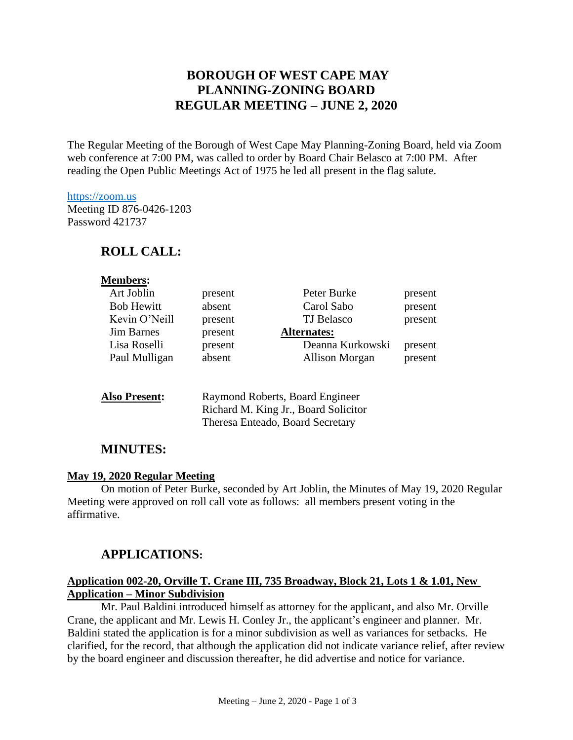# **BOROUGH OF WEST CAPE MAY PLANNING-ZONING BOARD REGULAR MEETING – JUNE 2, 2020**

The Regular Meeting of the Borough of West Cape May Planning-Zoning Board, held via Zoom web conference at 7:00 PM, was called to order by Board Chair Belasco at 7:00 PM. After reading the Open Public Meetings Act of 1975 he led all present in the flag salute.

#### [https://zoom.us](https://zoom.us/)

Meeting ID 876-0426-1203 Password 421737

### **ROLL CALL:**

| <b>Members:</b>      |         |                                                                         |         |
|----------------------|---------|-------------------------------------------------------------------------|---------|
| Art Joblin           | present | Peter Burke                                                             | present |
| <b>Bob Hewitt</b>    | absent  | Carol Sabo                                                              | present |
| Kevin O'Neill        | present | <b>TJ</b> Belasco                                                       | present |
| <b>Jim Barnes</b>    | present | <b>Alternates:</b>                                                      |         |
| Lisa Roselli         | present | Deanna Kurkowski                                                        | present |
| Paul Mulligan        | absent  | Allison Morgan                                                          | present |
| <b>Also Present:</b> |         | Raymond Roberts, Board Engineer<br>Richard M. King Jr., Board Solicitor |         |

Theresa Enteado, Board Secretary

### **MINUTES:**

#### **May 19, 2020 Regular Meeting**

On motion of Peter Burke, seconded by Art Joblin, the Minutes of May 19, 2020 Regular Meeting were approved on roll call vote as follows: all members present voting in the affirmative.

### **APPLICATIONS:**

### **Application 002-20, Orville T. Crane III, 735 Broadway, Block 21, Lots 1 & 1.01, New Application – Minor Subdivision**

Mr. Paul Baldini introduced himself as attorney for the applicant, and also Mr. Orville Crane, the applicant and Mr. Lewis H. Conley Jr., the applicant's engineer and planner. Mr. Baldini stated the application is for a minor subdivision as well as variances for setbacks. He clarified, for the record, that although the application did not indicate variance relief, after review by the board engineer and discussion thereafter, he did advertise and notice for variance.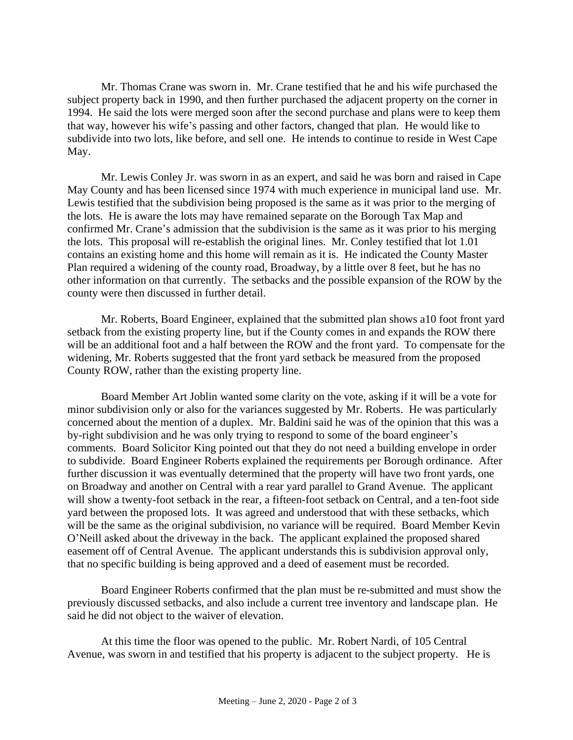Mr. Thomas Crane was sworn in. Mr. Crane testified that he and his wife purchased the subject property back in 1990, and then further purchased the adjacent property on the corner in 1994. He said the lots were merged soon after the second purchase and plans were to keep them that way, however his wife's passing and other factors, changed that plan. He would like to subdivide into two lots, like before, and sell one. He intends to continue to reside in West Cape May.

Mr. Lewis Conley Jr. was sworn in as an expert, and said he was born and raised in Cape May County and has been licensed since 1974 with much experience in municipal land use. Mr. Lewis testified that the subdivision being proposed is the same as it was prior to the merging of the lots. He is aware the lots may have remained separate on the Borough Tax Map and confirmed Mr. Crane's admission that the subdivision is the same as it was prior to his merging the lots. This proposal will re-establish the original lines. Mr. Conley testified that lot 1.01 contains an existing home and this home will remain as it is. He indicated the County Master Plan required a widening of the county road, Broadway, by a little over 8 feet, but he has no other information on that currently. The setbacks and the possible expansion of the ROW by the county were then discussed in further detail.

Mr. Roberts, Board Engineer, explained that the submitted plan shows a10 foot front yard setback from the existing property line, but if the County comes in and expands the ROW there will be an additional foot and a half between the ROW and the front yard. To compensate for the widening, Mr. Roberts suggested that the front yard setback be measured from the proposed County ROW, rather than the existing property line.

Board Member Art Joblin wanted some clarity on the vote, asking if it will be a vote for minor subdivision only or also for the variances suggested by Mr. Roberts. He was particularly concerned about the mention of a duplex. Mr. Baldini said he was of the opinion that this was a by-right subdivision and he was only trying to respond to some of the board engineer's comments. Board Solicitor King pointed out that they do not need a building envelope in order to subdivide. Board Engineer Roberts explained the requirements per Borough ordinance. After further discussion it was eventually determined that the property will have two front yards, one on Broadway and another on Central with a rear yard parallel to Grand Avenue. The applicant will show a twenty-foot setback in the rear, a fifteen-foot setback on Central, and a ten-foot side yard between the proposed lots. It was agreed and understood that with these setbacks, which will be the same as the original subdivision, no variance will be required. Board Member Kevin O'Neill asked about the driveway in the back. The applicant explained the proposed shared easement off of Central Avenue. The applicant understands this is subdivision approval only, that no specific building is being approved and a deed of easement must be recorded.

Board Engineer Roberts confirmed that the plan must be re-submitted and must show the previously discussed setbacks, and also include a current tree inventory and landscape plan. He said he did not object to the waiver of elevation.

At this time the floor was opened to the public. Mr. Robert Nardi, of 105 Central Avenue, was sworn in and testified that his property is adjacent to the subject property. He is